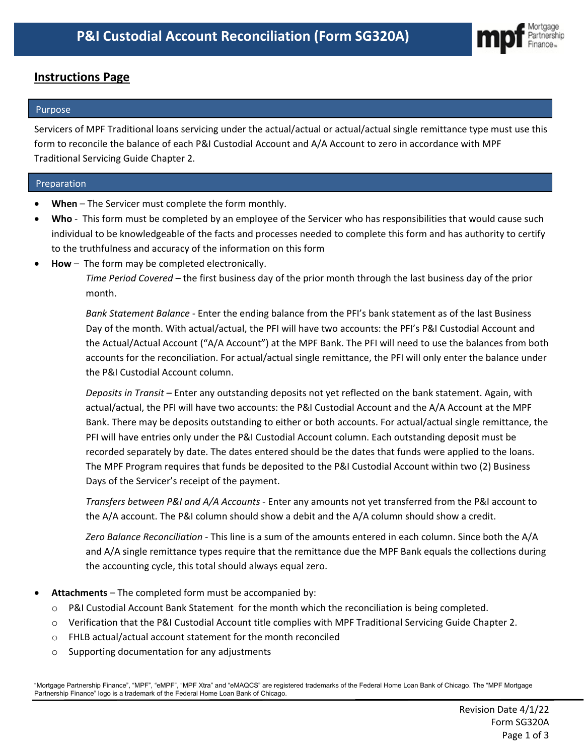

# **Instructions Page**

## Purpose

Servicers of MPF Traditional loans servicing under the actual/actual or actual/actual single remittance type must use this form to reconcile the balance of each P&I Custodial Account and A/A Account to zero in accordance with MPF Traditional Servicing Guide Chapter 2.

## Preparation

- When The Servicer must complete the form monthly.
- **Who** This form must be completed by an employee of the Servicer who has responsibilities that would cause such individual to be knowledgeable of the facts and processes needed to complete this form and has authority to certify to the truthfulness and accuracy of the information on this form
- **How** The form may be completed electronically.

*Time Period Covered –* the first business day of the prior month through the last business day of the prior month.

*Bank Statement Balance* - Enter the ending balance from the PFI's bank statement as of the last Business Day of the month. With actual/actual, the PFI will have two accounts: the PFI's P&I Custodial Account and the Actual/Actual Account ("A/A Account") at the MPF Bank. The PFI will need to use the balances from both accounts for the reconciliation. For actual/actual single remittance, the PFI will only enter the balance under the P&I Custodial Account column.

*Deposits in Transit –* Enter any outstanding deposits not yet reflected on the bank statement. Again, with actual/actual, the PFI will have two accounts: the P&I Custodial Account and the A/A Account at the MPF Bank. There may be deposits outstanding to either or both accounts. For actual/actual single remittance, the PFI will have entries only under the P&I Custodial Account column. Each outstanding deposit must be recorded separately by date. The dates entered should be the dates that funds were applied to the loans. The MPF Program requires that funds be deposited to the P&I Custodial Account within two (2) Business Days of the Servicer's receipt of the payment.

*Transfers between P&I and A/A Accounts -* Enter any amounts not yet transferred from the P&I account to the A/A account. The P&I column should show a debit and the A/A column should show a credit.

*Zero Balance Reconciliation -* This line is a sum of the amounts entered in each column. Since both the A/A and A/A single remittance types require that the remittance due the MPF Bank equals the collections during the accounting cycle, this total should always equal zero.

- **Attachments** The completed form must be accompanied by:
	- o P&I Custodial Account Bank Statement for the month which the reconciliation is being completed.
	- o Verification that the P&I Custodial Account title complies with MPF Traditional Servicing Guide Chapter 2.
	- o FHLB actual/actual account statement for the month reconciled
	- o Supporting documentation for any adjustments

"Mortgage Partnership Finance", "MPF", "eMPF", "MPF Xtra" and "eMAQCS" are registered trademarks of the Federal Home Loan Bank of Chicago. The "MPF Mortgage Partnership Finance" logo is a trademark of the Federal Home Loan Bank of Chicago.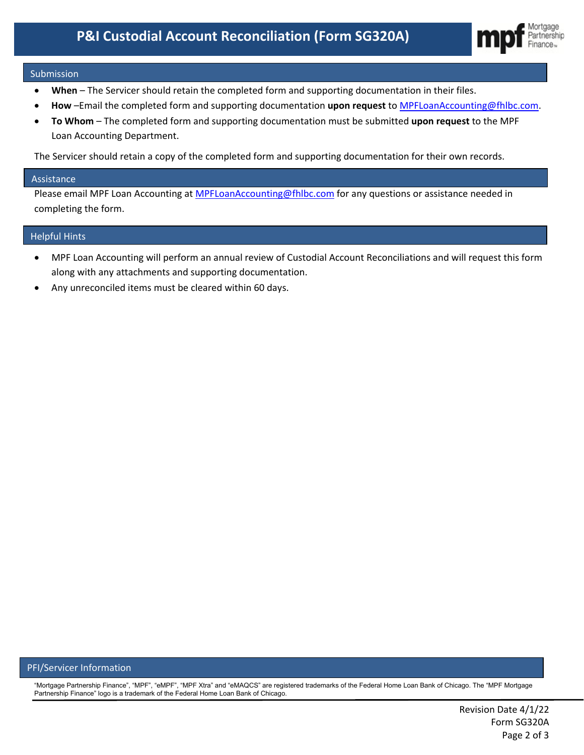

#### Submission

- **When** The Servicer should retain the completed form and supporting documentation in their files.
- **How** –Email the completed form and supporting documentation **upon request** to [MPFLoanAccounting@fhlbc.com.](mailto:MPFLoanAccounting@fhlbc.com)
- **To Whom** The completed form and supporting documentation must be submitted **upon request** to the MPF Loan Accounting Department.

The Servicer should retain a copy of the completed form and supporting documentation for their own records.

#### Assistance

Please email MPF Loan Accounting at [MPFLoanAccounting@fhlbc.com](mailto:MPFLoanAccounting@fhlbc.com) for any questions or assistance needed in completing the form.

# [insert any tips/reminders for avoiding or resolving common errors] Helpful Hints

- MPF Loan Accounting will perform an annual review of Custodial Account Reconciliations and will request this form along with any attachments and supporting documentation.
- Any unreconciled items must be cleared within 60 days.

#### PFI/Servicer Information

"Mortgage Partnership Finance", "MPF", "eMPF", "MPF Xtra" and "eMAQCS" are registered trademarks of the Federal Home Loan Bank of Chicago. The "MPF Mortgage Partnership Finance" logo is a trademark of the Federal Home Loan Bank of Chicago.